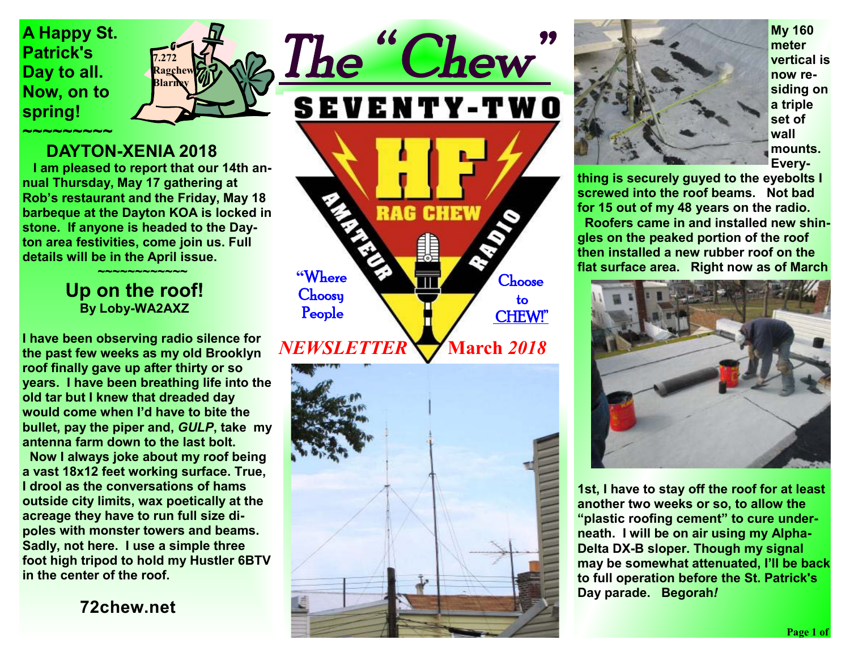**A Happy St. Patrick's Day to all. Now, on to spring!** 



### **DAYTON-XENIA 2018**

 **I am pleased to report that our 14th annual Thursday, May 17 gathering at Rob's restaurant and the Friday, May 18 barbeque at the Dayton KOA is locked in stone. If anyone is headed to the Dayton area festivities, come join us. Full details will be in the April issue.**

#### **~~~~~~~~~~~~ Up on the roof! By Loby-WA2AXZ**

**I have been observing radio silence for the past few weeks as my old Brooklyn roof finally gave up after thirty or so years. I have been breathing life into the old tar but I knew that dreaded day would come when I'd have to bite the bullet, pay the piper and,** *GULP***, take my antenna farm down to the last bolt.** 

 **Now I always joke about my roof being a vast 18x12 feet working surface. True, I drool as the conversations of hams outside city limits, wax poetically at the acreage they have to run full size dipoles with monster towers and beams. Sadly, not here. I use a simple three foot high tripod to hold my Hustler 6BTV in the center of the roof.** 

**72chew.net**

SEVENTY-TWO **RAG CHEW "**Where **Choose Choosy**  to People CHEW!"  **March** *2018 NEWSLETTER* 

*The " Chew"* 





**My 160 meter vertical is now residing on a triple set of wall mounts. Every-**

**thing is securely guyed to the eyebolts I screwed into the roof beams. Not bad for 15 out of my 48 years on the radio. Roofers came in and installed new shingles on the peaked portion of the roof then installed a new rubber roof on the flat surface area. Right now as of March** 



**1st, I have to stay off the roof for at least another two weeks or so, to allow the "plastic roofing cement" to cure underneath. I will be on air using my Alpha-Delta DX-B sloper. Though my signal may be somewhat attenuated, I'll be back to full operation before the St. Patrick's Day parade. Begorah***!*